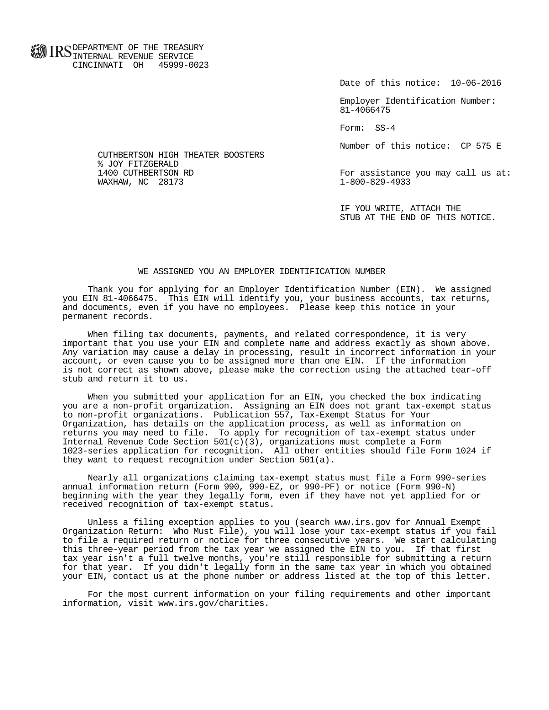**FOR ID C** DEPARTMENT OF THE TREASURY **WWW IIND** INTERNAL REVENUE SERVICE CINCINNATI OH 45999-0023

Date of this notice: 10-06-2016

 Employer Identification Number: 81-4066475

Form: SS-4

Number of this notice: CP 575 E

For assistance you may call us at:<br> $1-800-829-4933$ 

 IF YOU WRITE, ATTACH THE STUB AT THE END OF THIS NOTICE.

## WE ASSIGNED YOU AN EMPLOYER IDENTIFICATION NUMBER

 Thank you for applying for an Employer Identification Number (EIN). We assigned you EIN 81-4066475. This EIN will identify you, your business accounts, tax returns, and documents, even if you have no employees. Please keep this notice in your permanent records.

 When filing tax documents, payments, and related correspondence, it is very important that you use your EIN and complete name and address exactly as shown above. Any variation may cause a delay in processing, result in incorrect information in your account, or even cause you to be assigned more than one EIN. If the information is not correct as shown above, please make the correction using the attached tear-off stub and return it to us.

 When you submitted your application for an EIN, you checked the box indicating you are a non-profit organization. Assigning an EIN does not grant tax-exempt status to non-profit organizations. Publication 557, Tax-Exempt Status for Your Organization, has details on the application process, as well as information on returns you may need to file. To apply for recognition of tax-exempt status under Internal Revenue Code Section  $501(c)(3)$ , organizations must complete a Form 1023-series application for recognition. All other entities should file Form 1024 if they want to request recognition under Section 501(a).

 Nearly all organizations claiming tax-exempt status must file a Form 990-series annual information return (Form 990, 990-EZ, or 990-PF) or notice (Form 990-N) beginning with the year they legally form, even if they have not yet applied for or received recognition of tax-exempt status.

 Unless a filing exception applies to you (search www.irs.gov for Annual Exempt Organization Return: Who Must File), you will lose your tax-exempt status if you fail to file a required return or notice for three consecutive years. We start calculating this three-year period from the tax year we assigned the EIN to you. If that first tax year isn't a full twelve months, you're still responsible for submitting a return for that year. If you didn't legally form in the same tax year in which you obtained your EIN, contact us at the phone number or address listed at the top of this letter.

 For the most current information on your filing requirements and other important information, visit www.irs.gov/charities.

 CUTHBERTSON HIGH THEATER BOOSTERS % JOY FITZGERALD<br>1400 CUTHBERTSON RD WAXHAW, NC 28173